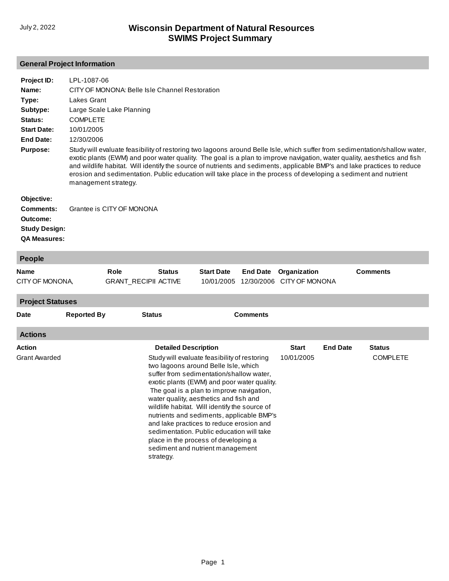# **General Project Information**

| Project ID:<br>Name:<br>Type:<br>Subtype:<br>Status:<br><b>Start Date:</b><br>End Date:<br><b>Purpose:</b> | LPL-1087-06<br>CITY OF MONONA: Belle Isle Channel Restoration<br>Lakes Grant<br>Large Scale Lake Planning<br><b>COMPLETE</b><br>10/01/2005<br>12/30/2006<br>Study will evaluate feasibility of restoring two lagoons around Belle Isle, which suffer from sedimentation/shallow water,<br>exotic plants (EWM) and poor water quality. The goal is a plan to improve navigation, water quality, aesthetics and fish<br>and wildlife habitat. Will identify the source of nutrients and sediments, applicable BMP's and lake practices to reduce<br>erosion and sedimentation. Public education will take place in the process of developing a sediment and nutrient<br>management strategy. |
|------------------------------------------------------------------------------------------------------------|--------------------------------------------------------------------------------------------------------------------------------------------------------------------------------------------------------------------------------------------------------------------------------------------------------------------------------------------------------------------------------------------------------------------------------------------------------------------------------------------------------------------------------------------------------------------------------------------------------------------------------------------------------------------------------------------|
| Objective:<br>Comments:<br>Outcome:<br><b>Study Design:</b><br><b>QA Measures:</b>                         | Grantee is CITY OF MONONA                                                                                                                                                                                                                                                                                                                                                                                                                                                                                                                                                                                                                                                                  |

| <b>People</b>                  |                    |                                     |                                          |                                                                                                                                                                                                                                                                                                                                                                                                                                                                                                                                           |                 |                                           |                 |                                  |
|--------------------------------|--------------------|-------------------------------------|------------------------------------------|-------------------------------------------------------------------------------------------------------------------------------------------------------------------------------------------------------------------------------------------------------------------------------------------------------------------------------------------------------------------------------------------------------------------------------------------------------------------------------------------------------------------------------------------|-----------------|-------------------------------------------|-----------------|----------------------------------|
| <b>Name</b><br>CITY OF MONONA, |                    | Role<br><b>GRANT_RECIPII ACTIVE</b> | <b>Status</b>                            | <b>Start Date</b><br>10/01/2005                                                                                                                                                                                                                                                                                                                                                                                                                                                                                                           | <b>End Date</b> | Organization<br>12/30/2006 CITY OF MONONA |                 | <b>Comments</b>                  |
| <b>Project Statuses</b>        |                    |                                     |                                          |                                                                                                                                                                                                                                                                                                                                                                                                                                                                                                                                           |                 |                                           |                 |                                  |
| <b>Date</b>                    | <b>Reported By</b> | <b>Status</b>                       |                                          |                                                                                                                                                                                                                                                                                                                                                                                                                                                                                                                                           | <b>Comments</b> |                                           |                 |                                  |
| <b>Actions</b>                 |                    |                                     |                                          |                                                                                                                                                                                                                                                                                                                                                                                                                                                                                                                                           |                 |                                           |                 |                                  |
| Action<br><b>Grant Awarded</b> |                    |                                     | <b>Detailed Description</b><br>strategy. | Study will evaluate feasibility of restoring<br>two lagoons around Belle Isle, which<br>suffer from sedimentation/shallow water,<br>exotic plants (EWM) and poor water quality.<br>The goal is a plan to improve navigation,<br>water quality, aesthetics and fish and<br>wildlife habitat. Will identify the source of<br>nutrients and sediments, applicable BMP's<br>and lake practices to reduce erosion and<br>sedimentation. Public education will take<br>place in the process of developing a<br>sediment and nutrient management |                 | <b>Start</b><br>10/01/2005                | <b>End Date</b> | <b>Status</b><br><b>COMPLETE</b> |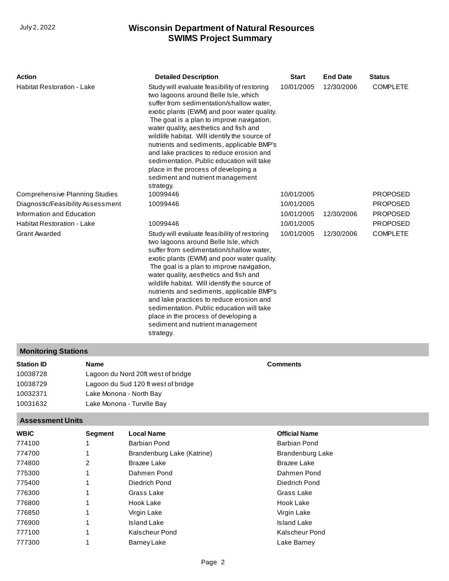# **SWIMS Project Summary** July 2, 2022 **Wisconsin Department of Natural Resources**

| <b>Action</b><br><b>Habitat Restoration - Lake</b> |                                    | <b>Detailed Description</b><br>Study will evaluate feasibility of restoring<br>two lagoons around Belle Isle, which<br>suffer from sedimentation/shallow water,<br>exotic plants (EWM) and poor water quality.<br>The goal is a plan to improve navigation,<br>water quality, aesthetics and fish and<br>wildlife habitat. Will identify the source of<br>nutrients and sediments, applicable BMP's<br>and lake practices to reduce erosion and<br>sedimentation. Public education will take<br>place in the process of developing a<br>sediment and nutrient management<br>strategy. |  | <b>Start</b><br>10/01/2005 | <b>End Date</b><br>12/30/2006 | <b>Status</b><br><b>COMPLETE</b> |  |
|----------------------------------------------------|------------------------------------|---------------------------------------------------------------------------------------------------------------------------------------------------------------------------------------------------------------------------------------------------------------------------------------------------------------------------------------------------------------------------------------------------------------------------------------------------------------------------------------------------------------------------------------------------------------------------------------|--|----------------------------|-------------------------------|----------------------------------|--|
| <b>Comprehensive Planning Studies</b>              |                                    | 10099446                                                                                                                                                                                                                                                                                                                                                                                                                                                                                                                                                                              |  | 10/01/2005                 |                               | PROPOSED                         |  |
| Diagnostic/Feasibility Assessment                  |                                    | 10099446                                                                                                                                                                                                                                                                                                                                                                                                                                                                                                                                                                              |  | 10/01/2005                 |                               | PROPOSED                         |  |
| Information and Education                          |                                    |                                                                                                                                                                                                                                                                                                                                                                                                                                                                                                                                                                                       |  | 10/01/2005                 | 12/30/2006                    | PROPOSED                         |  |
| <b>Habitat Restoration - Lake</b>                  |                                    | 10099446                                                                                                                                                                                                                                                                                                                                                                                                                                                                                                                                                                              |  | 10/01/2005                 |                               | PROPOSED                         |  |
| <b>Grant Awarded</b>                               |                                    | Study will evaluate feasibility of restoring<br>two lagoons around Belle Isle, which<br>suffer from sedimentation/shallow water,<br>exotic plants (EWM) and poor water quality.<br>The goal is a plan to improve navigation,<br>water quality, aesthetics and fish and<br>wildlife habitat. Will identify the source of<br>nutrients and sediments, applicable BMP's<br>and lake practices to reduce erosion and<br>sedimentation. Public education will take<br>place in the process of developing a<br>sediment and nutrient management<br>strategy.                                |  | 10/01/2005                 | 12/30/2006                    | <b>COMPLETE</b>                  |  |
| <b>Monitoring Stations</b>                         |                                    |                                                                                                                                                                                                                                                                                                                                                                                                                                                                                                                                                                                       |  |                            |                               |                                  |  |
| <b>Station ID</b>                                  | <b>Name</b>                        |                                                                                                                                                                                                                                                                                                                                                                                                                                                                                                                                                                                       |  | <b>Comments</b>            |                               |                                  |  |
| 10038728                                           | Lagoon du Nord 20ft west of bridge |                                                                                                                                                                                                                                                                                                                                                                                                                                                                                                                                                                                       |  |                            |                               |                                  |  |
| 10038729<br>Lagoon du Sud 120 ft west of bridge    |                                    |                                                                                                                                                                                                                                                                                                                                                                                                                                                                                                                                                                                       |  |                            |                               |                                  |  |
| 10032371<br>Lake Monona - North Bay                |                                    |                                                                                                                                                                                                                                                                                                                                                                                                                                                                                                                                                                                       |  |                            |                               |                                  |  |
| 10031632                                           |                                    | Lake Monona - Turville Bay                                                                                                                                                                                                                                                                                                                                                                                                                                                                                                                                                            |  |                            |                               |                                  |  |
| <b>Assessment Units</b>                            |                                    |                                                                                                                                                                                                                                                                                                                                                                                                                                                                                                                                                                                       |  |                            |                               |                                  |  |
| <b>WBIC</b>                                        | Segment                            | <b>Local Name</b>                                                                                                                                                                                                                                                                                                                                                                                                                                                                                                                                                                     |  | <b>Official Name</b>       |                               |                                  |  |
| 774100                                             | 1                                  | Barbian Pond                                                                                                                                                                                                                                                                                                                                                                                                                                                                                                                                                                          |  | Barbian Pond               |                               |                                  |  |

Brandenburg Lake [Brazee Lake](http://prodoasint.dnr.wi.gov/wadrs/viewUnit.do?id=6858966) [Dahmen Pond](http://prodoasint.dnr.wi.gov/wadrs/viewUnit.do?id=11682) Diedrich Pond [Grass Lake](http://prodoasint.dnr.wi.gov/wadrs/viewUnit.do?id=11649) [Hook Lake](http://prodoasint.dnr.wi.gov/wadrs/viewUnit.do?id=18252) [Virgin Lake](http://prodoasint.dnr.wi.gov/wadrs/viewUnit.do?id=11637) [Island Lake](http://prodoasint.dnr.wi.gov/wadrs/viewUnit.do?id=11650) Kalscheur Pond Lake Barney

[Brandenburg Lake \(Katrine\)](http://prodoasint.dnr.wi.gov/wadrs/viewUnit.do?id=11681)

Brazee Lake Dahmen Pond [Diedrich Pond](http://prodoasint.dnr.wi.gov/wadrs/viewUnit.do?id=11683) Grass Lake Hook Lake Virgin Lake Island Lake [Kalscheur Pond](http://prodoasint.dnr.wi.gov/wadrs/viewUnit.do?id=11684) [Barney Lake](http://prodoasint.dnr.wi.gov/wadrs/viewUnit.do?id=11651)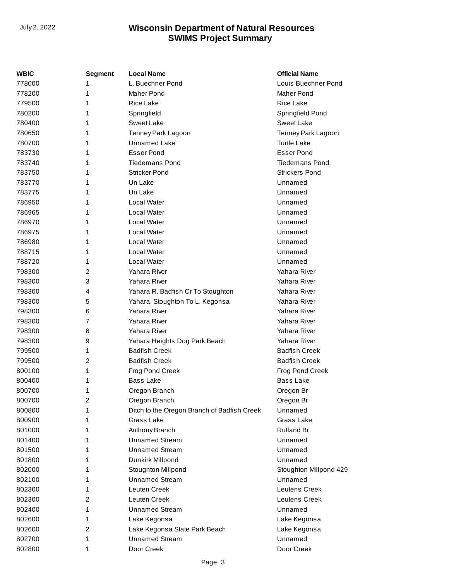| WBIC   | Segment        | <b>Local Name</b>                           | <b>Official Name</b>   |
|--------|----------------|---------------------------------------------|------------------------|
| 778000 | 1              | L. Buechner Pond                            | Louis Buechner Pond    |
| 778200 | 1              | Maher Pond                                  | Maher Pond             |
| 779500 | 1              | <b>Rice Lake</b>                            | <b>Rice Lake</b>       |
| 780200 | 1              | Springfield                                 | Springfield Pond       |
| 780400 | 1              | <b>Sweet Lake</b>                           | Sweet Lake             |
| 780650 | 1              | Tenney Park Lagoon                          | Tenney Park Lagoon     |
| 780700 | 1              | Unnamed Lake                                | <b>Turtle Lake</b>     |
| 783730 | 1              | <b>Esser Pond</b>                           | <b>Esser Pond</b>      |
| 783740 | 1              | <b>Tiedemans Pond</b>                       | <b>Tiedemans Pond</b>  |
| 783750 | 1              | Stricker Pond                               | <b>Strickers Pond</b>  |
| 783770 | 1              | Un Lake                                     | Unnamed                |
| 783775 | 1              | Un Lake                                     | Unnamed                |
| 786950 | 1              | Local Water                                 | Unnamed                |
| 786965 | 1              | Local Water                                 | Unnamed                |
| 786970 | 1              | Local Water                                 | Unnamed                |
| 786975 | 1              | Local Water                                 | Unnamed                |
| 786980 | 1              | Local Water                                 | Unnamed                |
| 788715 | 1              | Local Water                                 | Unnamed                |
| 788720 | 1              | Local Water                                 | Unnamed                |
| 798300 | 2              | Yahara River                                | Yahara River           |
| 798300 | 3              | Yahara River                                | Yahara River           |
| 798300 | 4              | Yahara R. Badfish Cr To Stoughton           | Yahara River           |
| 798300 | 5              | Yahara, Stoughton To L. Kegonsa             | Yahara River           |
| 798300 | 6              | Yahara River                                | Yahara River           |
| 798300 | $\overline{7}$ | Yahara River                                | Yahara River           |
| 798300 | 8              | Yahara River                                | Yahara River           |
| 798300 | 9              | Yahara Heights Dog Park Beach               | Yahara River           |
| 799500 | 1              | <b>Badfish Creek</b>                        | <b>Badfish Creek</b>   |
| 799500 | 2              | <b>Badfish Creek</b>                        | <b>Badfish Creek</b>   |
| 800100 | 1              | Frog Pond Creek                             | Frog Pond Creek        |
| 800400 | 1              | Bass Lake                                   | <b>Bass Lake</b>       |
| 800700 | 1              | Oregon Branch                               | Oregon Br              |
| 800700 | 2              | Oregon Branch                               | Oregon Br              |
| 800800 | 1              | Ditch to the Oregon Branch of Badfish Creek | Unnamed                |
| 800900 | 1              | Grass Lake                                  | Grass Lake             |
| 801000 | 1              | Anthony Branch                              | <b>Rutland Br</b>      |
| 801400 | 1              | <b>Unnamed Stream</b>                       | Unnamed                |
| 801500 | 1              | <b>Unnamed Stream</b>                       | Unnamed                |
| 801800 | 1              | Dunkirk Millpond                            | Unnamed                |
| 802000 | 1              | Stoughton Millpond                          | Stoughton Millpond 429 |
| 802100 | 1              | <b>Unnamed Stream</b>                       | Unnamed                |
| 802300 | 1              | Leuten Creek                                | Leutens Creek          |
| 802300 | 2              | Leuten Creek                                | Leutens Creek          |
| 802400 | 1              | <b>Unnamed Stream</b>                       | Unnamed                |
| 802600 | 1              | Lake Kegonsa                                | Lake Kegonsa           |
| 802600 | 2              | Lake Kegonsa State Park Beach               | Lake Kegonsa           |
| 802700 | 1              | <b>Unnamed Stream</b>                       | Unnamed                |
| 802800 | 1              | Door Creek                                  | Door Creek             |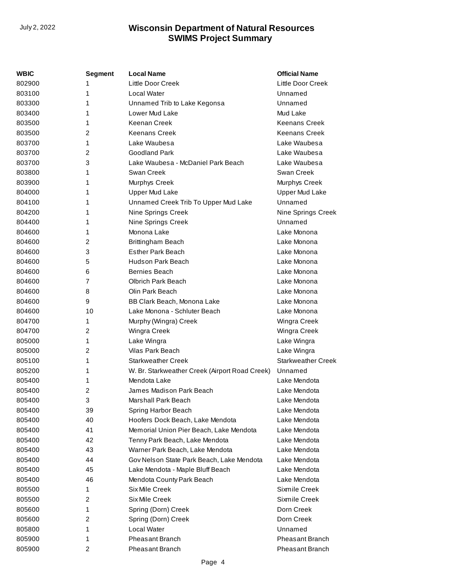| WBIC   | <b>Segment</b>          | <b>Local Name</b>                              | <b>Official Name</b>      |
|--------|-------------------------|------------------------------------------------|---------------------------|
| 802900 | 1                       | <b>Little Door Creek</b>                       | Little Door Creek         |
| 803100 | 1                       | Local Water                                    | Unnamed                   |
| 803300 | 1                       | Unnamed Trib to Lake Kegonsa                   | Unnamed                   |
| 803400 | 1                       | Lower Mud Lake                                 | Mud Lake                  |
| 803500 | 1                       | Keenan Creek                                   | Keenans Creek             |
| 803500 | $\overline{2}$          | <b>Keenans Creek</b>                           | Keenans Creek             |
| 803700 | 1                       | Lake Waubesa                                   | Lake Waubesa              |
| 803700 | 2                       | <b>Goodland Park</b>                           | Lake Waubesa              |
| 803700 | 3                       | Lake Waubesa - McDaniel Park Beach             | Lake Waubesa              |
| 803800 | 1                       | Swan Creek                                     | Swan Creek                |
| 803900 | 1                       | Murphys Creek                                  | Murphys Creek             |
| 804000 | 1                       | <b>Upper Mud Lake</b>                          | <b>Upper Mud Lake</b>     |
| 804100 | 1                       | Unnamed Creek Trib To Upper Mud Lake           | Unnamed                   |
| 804200 | 1                       | Nine Springs Creek                             | Nine Springs Creek        |
| 804400 | 1                       | Nine Springs Creek                             | Unnamed                   |
| 804600 | 1                       | Monona Lake                                    | Lake Monona               |
| 804600 | 2                       | Brittingham Beach                              | Lake Monona               |
| 804600 | 3                       | <b>Esther Park Beach</b>                       | Lake Monona               |
| 804600 | 5                       | Hudson Park Beach                              | Lake Monona               |
| 804600 | 6                       | Bernies Beach                                  | Lake Monona               |
| 804600 | 7                       | <b>Olbrich Park Beach</b>                      | Lake Monona               |
| 804600 | 8                       | Olin Park Beach                                | Lake Monona               |
| 804600 | 9                       | BB Clark Beach, Monona Lake                    | Lake Monona               |
| 804600 | 10                      | Lake Monona - Schluter Beach                   | Lake Monona               |
| 804700 | 1                       | Murphy (Wingra) Creek                          | Wingra Creek              |
| 804700 | $\overline{2}$          | Wingra Creek                                   | Wingra Creek              |
| 805000 | 1                       | Lake Wingra                                    | Lake Wingra               |
| 805000 | $\overline{c}$          | Vilas Park Beach                               | Lake Wingra               |
| 805100 | 1                       | <b>Starkweather Creek</b>                      | <b>Starkweather Creek</b> |
| 805200 | 1                       | W. Br. Starkweather Creek (Airport Road Creek) | Unnamed                   |
| 805400 | 1                       | Mendota Lake                                   | Lake Mendota              |
| 805400 | $\overline{c}$          | James Madison Park Beach                       | Lake Mendota              |
| 805400 | 3                       | Marshall Park Beach                            | Lake Mendota              |
| 805400 | 39                      | Spring Harbor Beach                            | Lake Mendota              |
| 805400 | 40                      | Hoofers Dock Beach, Lake Mendota               | Lake Mendota              |
| 805400 | 41                      | Memorial Union Pier Beach, Lake Mendota        | Lake Mendota              |
| 805400 | 42                      | Tenny Park Beach, Lake Mendota                 | Lake Mendota              |
| 805400 | 43                      | Warner Park Beach, Lake Mendota                | Lake Mendota              |
| 805400 | 44                      | Gov Nelson State Park Beach, Lake Mendota      | Lake Mendota              |
| 805400 | 45                      | Lake Mendota - Maple Bluff Beach               | Lake Mendota              |
| 805400 | 46                      | Mendota County Park Beach                      | Lake Mendota              |
| 805500 | 1                       | Six Mile Creek                                 | Sixmile Creek             |
| 805500 | 2                       | Six Mile Creek                                 | Sixmile Creek             |
| 805600 | 1                       | Spring (Dorn) Creek                            | Dorn Creek                |
| 805600 | 2                       | Spring (Dorn) Creek                            | Dorn Creek                |
| 805800 | 1                       | Local Water                                    | Unnamed                   |
| 805900 | 1                       | <b>Pheasant Branch</b>                         | <b>Pheasant Branch</b>    |
| 805900 | $\overline{\mathbf{c}}$ | Pheasant Branch                                | Pheasant Branch           |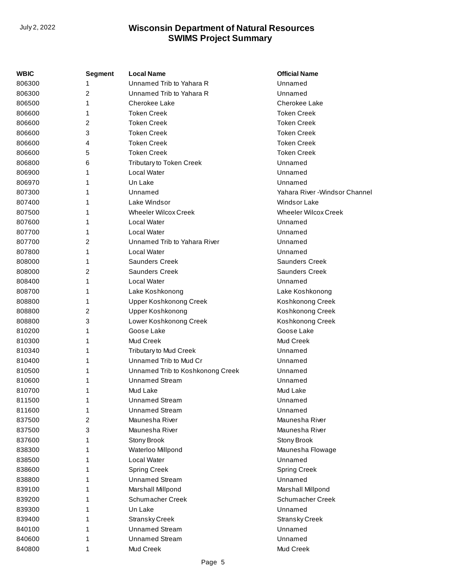| WBIC   | <b>Segment</b> | <b>Local Name</b>                | <b>Official Name</b>          |
|--------|----------------|----------------------------------|-------------------------------|
| 806300 |                | Unnamed Trib to Yahara R         | Unnamed                       |
| 806300 | 2              | Unnamed Trib to Yahara R         | Unnamed                       |
| 806500 | 1              | Cherokee Lake                    | <b>Cherokee Lake</b>          |
| 806600 | 1              | <b>Token Creek</b>               | <b>Token Creek</b>            |
| 806600 | 2              | <b>Token Creek</b>               | <b>Token Creek</b>            |
| 806600 | 3              | <b>Token Creek</b>               | <b>Token Creek</b>            |
| 806600 | 4              | <b>Token Creek</b>               | <b>Token Creek</b>            |
| 806600 | 5              | <b>Token Creek</b>               | <b>Token Creek</b>            |
| 806800 | 6              | <b>Tributary to Token Creek</b>  | Unnamed                       |
| 806900 | 1              | Local Water                      | Unnamed                       |
| 806970 | 1              | Un Lake                          | Unnamed                       |
| 807300 | 1              | Unnamed                          | Yahara River -Windsor Channel |
| 807400 | 1              | Lake Windsor                     | <b>Windsor Lake</b>           |
| 807500 | 1              | <b>Wheeler Wilcox Creek</b>      | <b>Wheeler Wilcox Creek</b>   |
| 807600 | 1              | <b>Local Water</b>               | Unnamed                       |
| 807700 | 1              | <b>Local Water</b>               | Unnamed                       |
| 807700 | 2              | Unnamed Trib to Yahara River     | Unnamed                       |
| 807800 | 1              | <b>Local Water</b>               | Unnamed                       |
| 808000 | 1              | <b>Saunders Creek</b>            | Saunders Creek                |
| 808000 | 2              | <b>Saunders Creek</b>            | <b>Saunders Creek</b>         |
| 808400 | 1              | <b>Local Water</b>               | Unnamed                       |
| 808700 | 1              | Lake Koshkonong                  | Lake Koshkonong               |
| 808800 | 1              | <b>Upper Koshkonong Creek</b>    | Koshkonong Creek              |
| 808800 | 2              | <b>Upper Koshkonong</b>          | Koshkonong Creek              |
| 808800 | 3              | Lower Koshkonong Creek           | Koshkonong Creek              |
| 810200 | 1              | Goose Lake                       | Goose Lake                    |
| 810300 | 1              | Mud Creek                        | Mud Creek                     |
| 810340 | 1              | <b>Tributary to Mud Creek</b>    | Unnamed                       |
| 810400 | 1              | Unnamed Trib to Mud Cr           | Unnamed                       |
| 810500 | 1              | Unnamed Trib to Koshkonong Creek | Unnamed                       |
| 810600 | 1              | <b>Unnamed Stream</b>            | Unnamed                       |
| 810700 | 1              | Mud Lake                         | Mud Lake                      |
| 811500 | 1              | <b>Unnamed Stream</b>            | Unnamed                       |
| 811600 | 1              | <b>Unnamed Stream</b>            | Unnamed                       |
| 837500 | 2              | Maunesha River                   | Maunesha River                |
| 837500 | 3              | Maunesha River                   | Maunesha River                |
| 837600 | 1              | Stony Brook                      | Stony Brook                   |
| 838300 | 1              | Waterloo Millpond                | Maunesha Flowage              |
| 838500 | 1              | Local Water                      | Unnamed                       |
| 838600 | 1              | <b>Spring Creek</b>              | <b>Spring Creek</b>           |
| 838800 | 1              | <b>Unnamed Stream</b>            | Unnamed                       |
| 839100 | 1              | Marshall Millpond                | Marshall Millpond             |
| 839200 | 1              | Schumacher Creek                 | Schumacher Creek              |
| 839300 | 1              | Un Lake                          | Unnamed                       |
| 839400 | 1              | <b>Stransky Creek</b>            | <b>Stransky Creek</b>         |
| 840100 | 1              | <b>Unnamed Stream</b>            | Unnamed                       |
| 840600 | 1              | <b>Unnamed Stream</b>            | Unnamed                       |
| 840800 | 1              | Mud Creek                        | Mud Creek                     |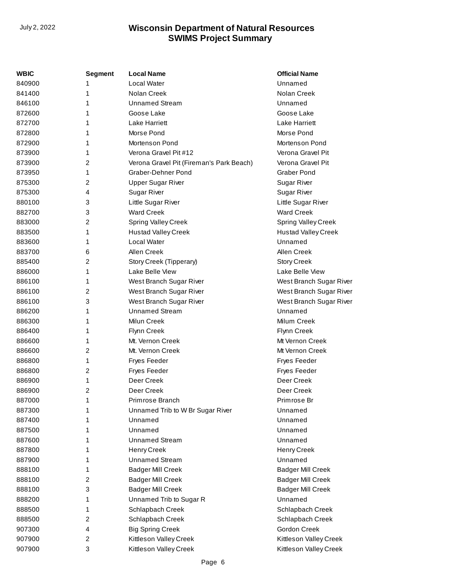| WBIC   | <b>Segment</b> | <b>Local Name</b>                        | <b>Official Name</b>       |
|--------|----------------|------------------------------------------|----------------------------|
| 840900 | 1              | Local Water                              | Unnamed                    |
| 841400 | 1              | Nolan Creek                              | Nolan Creek                |
| 846100 | 1              | <b>Unnamed Stream</b>                    | Unnamed                    |
| 872600 | 1              | Goose Lake                               | Goose Lake                 |
| 872700 | 1              | <b>Lake Harriett</b>                     | <b>Lake Harriett</b>       |
| 872800 | 1              | Morse Pond                               | Morse Pond                 |
| 872900 | 1              | Mortenson Pond                           | Mortenson Pond             |
| 873900 | 1              | Verona Gravel Pit #12                    | Verona Gravel Pit          |
| 873900 | 2              | Verona Gravel Pit (Fireman's Park Beach) | Verona Gravel Pit          |
| 873950 | 1              | Graber-Dehner Pond                       | <b>Graber Pond</b>         |
| 875300 | 2              | <b>Upper Sugar River</b>                 | Sugar River                |
| 875300 | 4              | <b>Sugar River</b>                       | <b>Sugar River</b>         |
| 880100 | 3              | Little Sugar River                       | Little Sugar River         |
| 882700 | 3              | <b>Ward Creek</b>                        | <b>Ward Creek</b>          |
| 883000 | 2              | <b>Spring Valley Creek</b>               | Spring Valley Creek        |
| 883500 | 1              | <b>Hustad Valley Creek</b>               | <b>Hustad Valley Creek</b> |
| 883600 | 1              | Local Water                              | Unnamed                    |
| 883700 | 6              | Allen Creek                              | Allen Creek                |
| 885400 | 2              | Story Creek (Tipperary)                  | <b>Story Creek</b>         |
| 886000 | 1              | Lake Belle View                          | Lake Belle View            |
| 886100 | 1              | West Branch Sugar River                  | West Branch Sugar River    |
| 886100 | $\overline{2}$ | West Branch Sugar River                  | West Branch Sugar River    |
| 886100 | 3              | West Branch Sugar River                  | West Branch Sugar River    |
| 886200 | 1              | <b>Unnamed Stream</b>                    | Unnamed                    |
| 886300 | 1              | Milun Creek                              | Milum Creek                |
| 886400 | 1              | Flynn Creek                              | Flynn Creek                |
| 886600 | 1              | Mt. Vernon Creek                         | Mt Vernon Creek            |
| 886600 | $\overline{2}$ | Mt. Vernon Creek                         | Mt Vernon Creek            |
| 886800 | 1              | <b>Fryes Feeder</b>                      | <b>Fryes Feeder</b>        |
| 886800 | 2              | <b>Fryes Feeder</b>                      | <b>Fryes Feeder</b>        |
| 886900 | 1              | Deer Creek                               | Deer Creek                 |
| 886900 | 2              | Deer Creek                               | Deer Creek                 |
| 887000 | 1              | Primrose Branch                          | Primrose Br                |
| 887300 | 1              | Unnamed Trib to W Br Sugar River         | Unnamed                    |
| 887400 | 1              | Unnamed                                  | Unnamed                    |
| 887500 | 1              | Unnamed                                  | Unnamed                    |
| 887600 | 1              | <b>Unnamed Stream</b>                    | Unnamed                    |
| 887800 | 1              | <b>Henry Creek</b>                       | Henry Creek                |
| 887900 | 1              | <b>Unnamed Stream</b>                    | Unnamed                    |
| 888100 | 1              | <b>Badger Mill Creek</b>                 | <b>Badger Mill Creek</b>   |
| 888100 | 2              | <b>Badger Mill Creek</b>                 | <b>Badger Mill Creek</b>   |
| 888100 | 3              | <b>Badger Mill Creek</b>                 | <b>Badger Mill Creek</b>   |
| 888200 | 1              | Unnamed Trib to Sugar R                  | Unnamed                    |
| 888500 | 1              | Schlapbach Creek                         | Schlapbach Creek           |
| 888500 | 2              | Schlapbach Creek                         | Schlapbach Creek           |
| 907300 | 4              | <b>Big Spring Creek</b>                  | <b>Gordon Creek</b>        |
| 907900 | 2              | Kittleson Valley Creek                   | Kittleson Valley Creek     |
| 907900 | 3              | Kittleson Valley Creek                   | Kittleson Valley Creek     |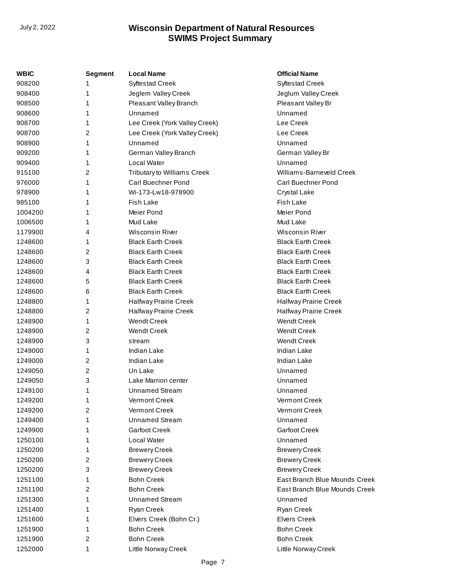| WBIC    | <b>Segment</b> | <b>Local Name</b>             | <b>Official Name</b>          |
|---------|----------------|-------------------------------|-------------------------------|
| 908200  | 1              | <b>Syftestad Creek</b>        | <b>Syftestad Creek</b>        |
| 908400  | 1              | Jeglem Valley Creek           | Jeglum Valley Creek           |
| 908500  | 1              | Pleasant Valley Branch        | Pleasant Valley Br            |
| 908600  | 1              | Unnamed                       | Unnamed                       |
| 908700  | 1              | Lee Creek (York Valley Creek) | Lee Creek                     |
| 908700  | 2              | Lee Creek (York Valley Creek) | Lee Creek                     |
| 908900  | 1              | Unnamed                       | Unnamed                       |
| 909200  | 1              | German Valley Branch          | German Valley Br              |
| 909400  | 1              | Local Water                   | Unnamed                       |
| 915100  | 2              | Tributary to Williams Creek   | Williams-Barneveld Creek      |
| 976000  | 1              | Carl Buechner Pond            | Carl Buechner Pond            |
| 978900  | 1              | Wi-173-Lw18-978900            | Crystal Lake                  |
| 985100  | 1              | <b>Fish Lake</b>              | <b>Fish Lake</b>              |
| 1004200 | 1              | Meier Pond                    | Meier Pond                    |
| 1006500 | 1              | Mud Lake                      | Mud Lake                      |
| 1179900 | 4              | <b>Wisconsin River</b>        | <b>Wisconsin River</b>        |
| 1248600 | 1              | <b>Black Earth Creek</b>      | <b>Black Earth Creek</b>      |
| 1248600 | 2              | <b>Black Earth Creek</b>      | <b>Black Earth Creek</b>      |
| 1248600 | 3              | <b>Black Earth Creek</b>      | <b>Black Earth Creek</b>      |
| 1248600 | 4              | <b>Black Earth Creek</b>      | <b>Black Earth Creek</b>      |
| 1248600 | 5              | <b>Black Earth Creek</b>      | <b>Black Earth Creek</b>      |
| 1248600 | 6              | <b>Black Earth Creek</b>      | <b>Black Earth Creek</b>      |
| 1248800 | 1              | Halfway Prairie Creek         | Halfway Prairie Creek         |
| 1248800 | 2              | Halfway Prairie Creek         | Halfway Prairie Creek         |
| 1248900 | 1              | <b>Wendt Creek</b>            | <b>Wendt Creek</b>            |
| 1248900 | 2              | <b>Wendt Creek</b>            | <b>Wendt Creek</b>            |
| 1248900 | 3              | stream                        | <b>Wendt Creek</b>            |
| 1249000 | 1              | <b>Indian Lake</b>            | <b>Indian Lake</b>            |
| 1249000 | 2              | <b>Indian Lake</b>            | <b>Indian Lake</b>            |
| 1249050 | 2              | Un Lake                       | Unnamed                       |
| 1249050 | 3              | Lake Marrion center           | Unnamed                       |
| 1249100 | 1              | <b>Unnamed Stream</b>         | Unnamed                       |
| 1249200 | 1              | Vermont Creek                 | Vermont Creek                 |
| 1249200 | 2              | Vermont Creek                 | Vermont Creek                 |
| 1249400 | 1              | <b>Unnamed Stream</b>         | Unnamed                       |
| 1249900 | 1              | <b>Garfoot Creek</b>          | <b>Garfoot Creek</b>          |
| 1250100 | 1              | Local Water                   | Unnamed                       |
| 1250200 | 1              | <b>Brewery Creek</b>          | <b>Brewery Creek</b>          |
| 1250200 | 2              | <b>Brewery Creek</b>          | <b>Brewery Creek</b>          |
| 1250200 | 3              | <b>Brewery Creek</b>          | <b>Brewery Creek</b>          |
| 1251100 | 1              | <b>Bohn Creek</b>             | East Branch Blue Mounds Creek |
| 1251100 | 2              | <b>Bohn Creek</b>             | East Branch Blue Mounds Creek |
| 1251300 | 1              | <b>Unnamed Stream</b>         | Unnamed                       |
| 1251400 | 1              | Ryan Creek                    | Ryan Creek                    |
| 1251600 | 1              | Elvers Creek (Bohn Cr.)       | <b>Elvers Creek</b>           |
| 1251900 | 1              | <b>Bohn Creek</b>             | <b>Bohn Creek</b>             |
| 1251900 | 2              | <b>Bohn Creek</b>             | <b>Bohn Creek</b>             |
| 1252000 | 1              | Little Norway Creek           | Little Norway Creek           |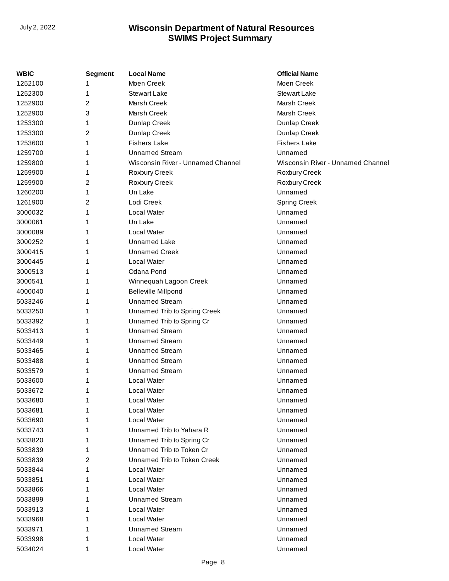| WBIC    | <b>Segment</b> | <b>Local Name</b>                 | <b>Official Name</b>              |
|---------|----------------|-----------------------------------|-----------------------------------|
| 1252100 |                | Moen Creek                        | Moen Creek                        |
| 1252300 | 1              | <b>Stewart Lake</b>               | <b>Stewart Lake</b>               |
| 1252900 | 2              | Marsh Creek                       | Marsh Creek                       |
| 1252900 | 3              | Marsh Creek                       | Marsh Creek                       |
| 1253300 | 1              | Dunlap Creek                      | Dunlap Creek                      |
| 1253300 | 2              | Dunlap Creek                      | Dunlap Creek                      |
| 1253600 | 1              | <b>Fishers Lake</b>               | <b>Fishers Lake</b>               |
| 1259700 |                | <b>Unnamed Stream</b>             | Unnamed                           |
| 1259800 | 1              | Wisconsin River - Unnamed Channel | Wisconsin River - Unnamed Channel |
| 1259900 | 1              | Roxbury Creek                     | Roxbury Creek                     |
| 1259900 | 2              | Roxbury Creek                     | Roxbury Creek                     |
| 1260200 | 1              | Un Lake                           | Unnamed                           |
| 1261900 | 2              | Lodi Creek                        | <b>Spring Creek</b>               |
| 3000032 | 1              | Local Water                       | Unnamed                           |
| 3000061 | 1              | Un Lake                           | Unnamed                           |
| 3000089 |                | Local Water                       | Unnamed                           |
| 3000252 |                | <b>Unnamed Lake</b>               | Unnamed                           |
| 3000415 | 1              | <b>Unnamed Creek</b>              | Unnamed                           |
| 3000445 | 1              | Local Water                       | Unnamed                           |
| 3000513 |                | Odana Pond                        | Unnamed                           |
| 3000541 | 1              | Winnequah Lagoon Creek            | Unnamed                           |
| 4000040 | 1              | <b>Belleville Millpond</b>        | Unnamed                           |
| 5033246 | 1              | <b>Unnamed Stream</b>             | Unnamed                           |
| 5033250 |                | Unnamed Trib to Spring Creek      | Unnamed                           |
| 5033392 | 1              | Unnamed Trib to Spring Cr         | Unnamed                           |
| 5033413 | 1              | <b>Unnamed Stream</b>             | Unnamed                           |
| 5033449 | 1              | <b>Unnamed Stream</b>             | Unnamed                           |
| 5033465 |                | <b>Unnamed Stream</b>             | Unnamed                           |
| 5033488 | 1              | <b>Unnamed Stream</b>             | Unnamed                           |
| 5033579 | 1              | <b>Unnamed Stream</b>             | Unnamed                           |
| 5033600 | 1              | Local Water                       | Unnamed                           |
| 5033672 | 1              | Local Water                       | Unnamed                           |
| 5033680 |                | Local Water                       | Unnamed                           |
| 5033681 |                | Local Water                       | Unnamed                           |
| 5033690 | 1              | Local Water                       | Unnamed                           |
| 5033743 |                | Unnamed Trib to Yahara R          | Unnamed                           |
| 5033820 |                | Unnamed Trib to Spring Cr         | Unnamed                           |
| 5033839 | 1              | Unnamed Trib to Token Cr          | Unnamed                           |
| 5033839 | 2              | Unnamed Trib to Token Creek       | Unnamed                           |
| 5033844 |                | Local Water                       | Unnamed                           |
| 5033851 | 1              | Local Water                       | Unnamed                           |
| 5033866 |                | Local Water                       | Unnamed                           |
| 5033899 | 1              | <b>Unnamed Stream</b>             | Unnamed                           |
| 5033913 |                | Local Water                       | Unnamed                           |
| 5033968 |                | Local Water                       | Unnamed                           |
| 5033971 |                | <b>Unnamed Stream</b>             | Unnamed                           |
| 5033998 | 1              | Local Water                       | Unnamed                           |
| 5034024 | 1              | Local Water                       | Unnamed                           |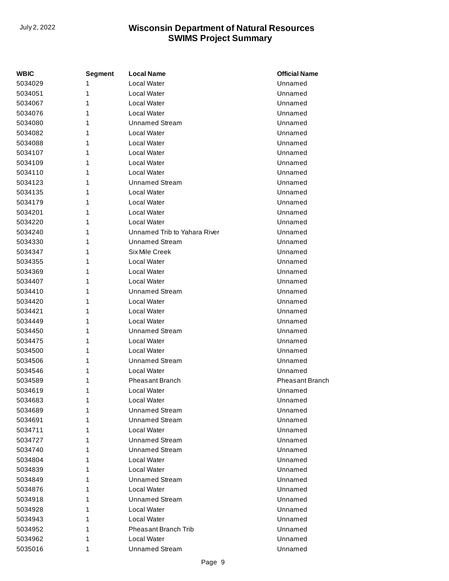| WBIC    | <b>Segment</b> | <b>Local Name</b>            | <b>Official Name</b> |
|---------|----------------|------------------------------|----------------------|
| 5034029 | 1              | Local Water                  | Unnamed              |
| 5034051 | 1              | <b>Local Water</b>           | Unnamed              |
| 5034067 | 1              | Local Water                  | Unnamed              |
| 5034076 | 1              | Local Water                  | Unnamed              |
| 5034080 | 1              | <b>Unnamed Stream</b>        | Unnamed              |
| 5034082 | 1              | Local Water                  | Unnamed              |
| 5034088 | 1              | Local Water                  | Unnamed              |
| 5034107 | 1              | <b>Local Water</b>           | Unnamed              |
| 5034109 | 1              | Local Water                  | Unnamed              |
| 5034110 | 1              | Local Water                  | Unnamed              |
| 5034123 | 1              | Unnamed Stream               | Unnamed              |
| 5034135 | 1              | Local Water                  | Unnamed              |
| 5034179 | 1              | Local Water                  | Unnamed              |
| 5034201 | 1              | <b>Local Water</b>           | Unnamed              |
| 5034220 | 1              | Local Water                  | Unnamed              |
| 5034240 | 1              | Unnamed Trib to Yahara River | Unnamed              |
| 5034330 | 1              | Unnamed Stream               | Unnamed              |
| 5034347 | 1              | Six Mile Creek               | Unnamed              |
| 5034355 | 1              | Local Water                  | Unnamed              |
| 5034369 | 1              | <b>Local Water</b>           | Unnamed              |
| 5034407 | 1              | Local Water                  | Unnamed              |
| 5034410 | 1              | <b>Unnamed Stream</b>        | Unnamed              |
| 5034420 | 1              | Local Water                  | Unnamed              |
| 5034421 | 1              | <b>Local Water</b>           | Unnamed              |
| 5034449 | 1              | Local Water                  | Unnamed              |
| 5034450 | 1              | <b>Unnamed Stream</b>        | Unnamed              |
| 5034475 | 1              | Local Water                  | Unnamed              |
| 5034500 | 1              | Local Water                  | Unnamed              |
| 5034506 | 1              | <b>Unnamed Stream</b>        | Unnamed              |
| 5034546 | 1              | Local Water                  | Unnamed              |
| 5034589 | 1              | Pheasant Branch              | Pheasant Branch      |
| 5034619 | 1              | Local Water                  | Unnamed              |
| 5034683 | 1              | Local Water                  | Unnamed              |
| 5034689 | 1              | Unnamed Stream               | Unnamed              |
| 5034691 | 1              | <b>Unnamed Stream</b>        | Unnamed              |
| 5034711 | 1              | Local Water                  | Unnamed              |
| 5034727 | 1              | <b>Unnamed Stream</b>        | Unnamed              |
| 5034740 | 1              | <b>Unnamed Stream</b>        | Unnamed              |
| 5034804 | 1              | Local Water                  | Unnamed              |
| 5034839 | 1              | Local Water                  | Unnamed              |
| 5034849 | 1              | <b>Unnamed Stream</b>        | Unnamed              |
| 5034876 | 1              | Local Water                  | Unnamed              |
| 5034918 | 1              | <b>Unnamed Stream</b>        | Unnamed              |
| 5034928 | 1              | Local Water                  | Unnamed              |
| 5034943 | 1              | Local Water                  | Unnamed              |
| 5034952 | 1              | <b>Pheasant Branch Trib</b>  | Unnamed              |
| 5034962 | 1              | Local Water                  | Unnamed              |
| 5035016 | 1              | <b>Unnamed Stream</b>        | Unnamed              |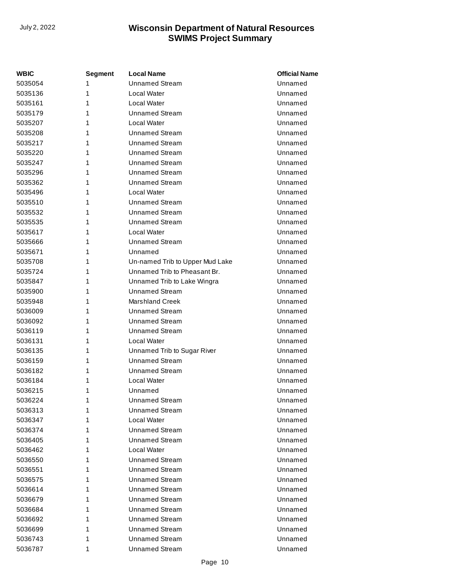| <b>WBIC</b> | Segment | <b>Local Name</b>               | <b>Official Name</b> |
|-------------|---------|---------------------------------|----------------------|
| 5035054     | 1       | Unnamed Stream                  | Unnamed              |
| 5035136     | 1       | Local Water                     | Unnamed              |
| 5035161     | 1       | Local Water                     | Unnamed              |
| 5035179     | 1       | <b>Unnamed Stream</b>           | Unnamed              |
| 5035207     | 1       | Local Water                     | Unnamed              |
| 5035208     | 1       | Unnamed Stream                  | Unnamed              |
| 5035217     | 1       | <b>Unnamed Stream</b>           | Unnamed              |
| 5035220     | 1       | Unnamed Stream                  | Unnamed              |
| 5035247     | 1       | Unnamed Stream                  | Unnamed              |
| 5035296     | 1       | <b>Unnamed Stream</b>           | Unnamed              |
| 5035362     | 1       | Unnamed Stream                  | Unnamed              |
| 5035496     | 1       | Local Water                     | Unnamed              |
| 5035510     | 1       | Unnamed Stream                  | Unnamed              |
| 5035532     | 1       | Unnamed Stream                  | Unnamed              |
| 5035535     | 1       | Unnamed Stream                  | Unnamed              |
| 5035617     | 1       | <b>Local Water</b>              | Unnamed              |
| 5035666     | 1       | Unnamed Stream                  | Unnamed              |
| 5035671     | 1       | Unnamed                         | Unnamed              |
| 5035708     | 1       | Un-named Trib to Upper Mud Lake | Unnamed              |
| 5035724     | 1       | Unnamed Trib to Pheasant Br.    | Unnamed              |
| 5035847     | 1       | Unnamed Trib to Lake Wingra     | Unnamed              |
| 5035900     | 1       | <b>Unnamed Stream</b>           | Unnamed              |
| 5035948     | 1       | Marshland Creek                 | Unnamed              |
| 5036009     | 1       | Unnamed Stream                  | Unnamed              |
| 5036092     | 1       | Unnamed Stream                  | Unnamed              |
| 5036119     | 1       | <b>Unnamed Stream</b>           | Unnamed              |
| 5036131     | 1       | Local Water                     | Unnamed              |
| 5036135     | 1       | Unnamed Trib to Sugar River     | Unnamed              |
| 5036159     | 1       | <b>Unnamed Stream</b>           | Unnamed              |
| 5036182     | 1       | <b>Unnamed Stream</b>           | Unnamed              |
| 5036184     | 1       | Local Water                     | Unnamed              |
| 5036215     | 1       | Unnamed                         | Unnamed              |
| 5036224     | 1       | <b>Unnamed Stream</b>           | Unnamed              |
| 5036313     | 1       | <b>Unnamed Stream</b>           | Unnamed              |
| 5036347     | 1       | Local Water                     | Unnamed              |
| 5036374     | 1       | <b>Unnamed Stream</b>           | Unnamed              |
| 5036405     | 1       | <b>Unnamed Stream</b>           | Unnamed              |
| 5036462     | 1       | Local Water                     | Unnamed              |
| 5036550     | 1       | Unnamed Stream                  | Unnamed              |
| 5036551     | 1       | <b>Unnamed Stream</b>           | Unnamed              |
| 5036575     | 1       | <b>Unnamed Stream</b>           | Unnamed              |
| 5036614     | 1       | <b>Unnamed Stream</b>           | Unnamed              |
| 5036679     | 1       | <b>Unnamed Stream</b>           | Unnamed              |
| 5036684     | 1       | <b>Unnamed Stream</b>           | Unnamed              |
| 5036692     | 1       | <b>Unnamed Stream</b>           | Unnamed              |
| 5036699     | 1       | <b>Unnamed Stream</b>           | Unnamed              |
| 5036743     | 1       | <b>Unnamed Stream</b>           | Unnamed              |
| 5036787     | 1       | <b>Unnamed Stream</b>           | Unnamed              |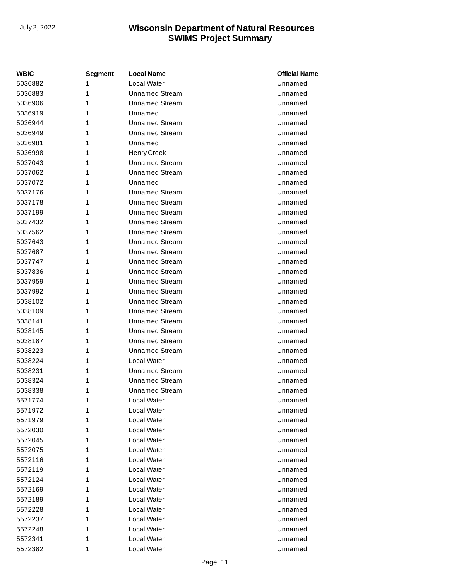| WBIC    | Segment | <b>Local Name</b>     | <b>Official Name</b> |
|---------|---------|-----------------------|----------------------|
| 5036882 | 1       | Local Water           | Unnamed              |
| 5036883 | 1       | <b>Unnamed Stream</b> | Unnamed              |
| 5036906 | 1       | <b>Unnamed Stream</b> | Unnamed              |
| 5036919 | 1       | Unnamed               | Unnamed              |
| 5036944 | 1       | <b>Unnamed Stream</b> | Unnamed              |
| 5036949 | 1       | <b>Unnamed Stream</b> | Unnamed              |
| 5036981 | 1       | Unnamed               | Unnamed              |
| 5036998 | 1       | <b>Henry Creek</b>    | Unnamed              |
| 5037043 | 1       | <b>Unnamed Stream</b> | Unnamed              |
| 5037062 | 1       | <b>Unnamed Stream</b> | Unnamed              |
| 5037072 | 1       | Unnamed               | Unnamed              |
| 5037176 | 1       | <b>Unnamed Stream</b> | Unnamed              |
| 5037178 | 1       | <b>Unnamed Stream</b> | Unnamed              |
| 5037199 | 1       | <b>Unnamed Stream</b> | Unnamed              |
| 5037432 | 1       | Unnamed Stream        | Unnamed              |
| 5037562 | 1       | <b>Unnamed Stream</b> | Unnamed              |
| 5037643 | 1       | <b>Unnamed Stream</b> | Unnamed              |
| 5037687 | 1       | <b>Unnamed Stream</b> | Unnamed              |
| 5037747 | 1       | Unnamed Stream        | Unnamed              |
| 5037836 | 1       | <b>Unnamed Stream</b> | Unnamed              |
| 5037959 | 1       | <b>Unnamed Stream</b> | Unnamed              |
| 5037992 | 1       | <b>Unnamed Stream</b> | Unnamed              |
| 5038102 | 1       | Unnamed Stream        | Unnamed              |
| 5038109 | 1       | <b>Unnamed Stream</b> | Unnamed              |
| 5038141 | 1       | <b>Unnamed Stream</b> | Unnamed              |
| 5038145 | 1       | <b>Unnamed Stream</b> | Unnamed              |
| 5038187 | 1       | Unnamed Stream        | Unnamed              |
| 5038223 | 1       | <b>Unnamed Stream</b> | Unnamed              |
| 5038224 | 1       | Local Water           | Unnamed              |
| 5038231 | 1       | <b>Unnamed Stream</b> | Unnamed              |
| 5038324 | 1       | Unnamed Stream        | Unnamed              |
| 5038338 | 1       | <b>Unnamed Stream</b> | Unnamed              |
| 5571774 | 1       | Local Water           | Unnamed              |
| 5571972 | 1       | Local Water           | Unnamed              |
| 5571979 | 1       | Local Water           | Unnamed              |
| 5572030 | 1       | Local Water           | Unnamed              |
| 5572045 | 1       | Local Water           | Unnamed              |
| 5572075 | 1       | Local Water           | Unnamed              |
| 5572116 | 1       | Local Water           | Unnamed              |
| 5572119 | 1       | Local Water           | Unnamed              |
| 5572124 | 1       | Local Water           | Unnamed              |
| 5572169 | 1       | Local Water           | Unnamed              |
| 5572189 | 1       | Local Water           | Unnamed              |
| 5572228 | 1       | Local Water           | Unnamed              |
| 5572237 | 1       | Local Water           | Unnamed              |
| 5572248 | 1       | Local Water           | Unnamed              |
| 5572341 | 1       | Local Water           | Unnamed              |
| 5572382 | 1       | Local Water           | Unnamed              |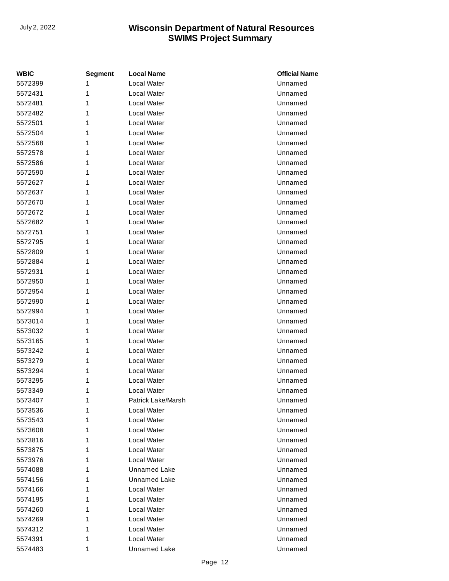| <b>WBIC</b> | <b>Segment</b> | <b>Local Name</b>   | <b>Official Name</b> |
|-------------|----------------|---------------------|----------------------|
| 5572399     | 1              | Local Water         | Unnamed              |
| 5572431     | 1              | Local Water         | Unnamed              |
| 5572481     | 1              | Local Water         | Unnamed              |
| 5572482     | 1              | Local Water         | Unnamed              |
| 5572501     | 1              | Local Water         | Unnamed              |
| 5572504     | 1              | Local Water         | Unnamed              |
| 5572568     | 1              | Local Water         | Unnamed              |
| 5572578     | 1              | Local Water         | Unnamed              |
| 5572586     | 1              | Local Water         | Unnamed              |
| 5572590     | 1              | Local Water         | Unnamed              |
| 5572627     | 1              | Local Water         | Unnamed              |
| 5572637     | 1              | Local Water         | Unnamed              |
| 5572670     | 1              | Local Water         | Unnamed              |
| 5572672     | 1              | Local Water         | Unnamed              |
| 5572682     | 1              | Local Water         | Unnamed              |
| 5572751     | 1              | Local Water         | Unnamed              |
| 5572795     | 1              | Local Water         | Unnamed              |
| 5572809     | 1              | Local Water         | Unnamed              |
| 5572884     | 1              | Local Water         | Unnamed              |
| 5572931     | 1              | Local Water         | Unnamed              |
| 5572950     | 1              | Local Water         | Unnamed              |
| 5572954     | 1              | Local Water         | Unnamed              |
| 5572990     | 1              | Local Water         | Unnamed              |
| 5572994     | 1              | Local Water         | Unnamed              |
| 5573014     | 1              | Local Water         | Unnamed              |
| 5573032     | 1              | Local Water         | Unnamed              |
| 5573165     | 1              | Local Water         | Unnamed              |
| 5573242     | 1              | Local Water         | Unnamed              |
| 5573279     | 1              | Local Water         | Unnamed              |
| 5573294     | 1              | Local Water         | Unnamed              |
| 5573295     | 1              | Local Water         | Unnamed              |
| 5573349     | 1              | Local Water         | Unnamed              |
| 5573407     | 1              | Patrick Lake/Marsh  | Unnamed              |
| 5573536     | 1              | Local Water         | Unnamed              |
| 5573543     | 1              | Local Water         | Unnamed              |
| 5573608     | 1              | Local Water         | Unnamed              |
| 5573816     | 1              | Local Water         | Unnamed              |
| 5573875     | 1              | Local Water         | Unnamed              |
| 5573976     | 1              | Local Water         | Unnamed              |
| 5574088     | 1              | <b>Unnamed Lake</b> | Unnamed              |
| 5574156     | 1              | Unnamed Lake        | Unnamed              |
| 5574166     | 1              | Local Water         | Unnamed              |
| 5574195     | 1              | Local Water         | Unnamed              |
| 5574260     | 1              | Local Water         | Unnamed              |
| 5574269     | 1              | Local Water         | Unnamed              |
| 5574312     | 1              | Local Water         | Unnamed              |
| 5574391     | 1              | Local Water         | Unnamed              |
| 5574483     | 1              | Unnamed Lake        | Unnamed              |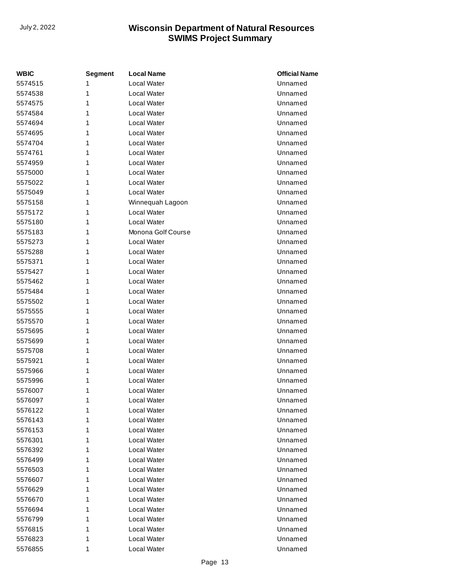| <b>WBIC</b> | <b>Segment</b> | <b>Local Name</b>  | <b>Official Name</b> |
|-------------|----------------|--------------------|----------------------|
| 5574515     | 1              | <b>Local Water</b> | Unnamed              |
| 5574538     | 1              | <b>Local Water</b> | Unnamed              |
| 5574575     | 1              | Local Water        | Unnamed              |
| 5574584     | 1              | Local Water        | Unnamed              |
| 5574694     | 1              | Local Water        | Unnamed              |
| 5574695     | 1              | <b>Local Water</b> | Unnamed              |
| 5574704     | 1              | Local Water        | Unnamed              |
| 5574761     | 1              | Local Water        | Unnamed              |
| 5574959     | 1              | Local Water        | Unnamed              |
| 5575000     | 1              | <b>Local Water</b> | Unnamed              |
| 5575022     | 1              | <b>Local Water</b> | Unnamed              |
| 5575049     | 1              | Local Water        | Unnamed              |
| 5575158     | 1              | Winnequah Lagoon   | Unnamed              |
| 5575172     | 1              | <b>Local Water</b> | Unnamed              |
| 5575180     | 1              | Local Water        | Unnamed              |
| 5575183     | 1              | Monona Golf Course | Unnamed              |
| 5575273     | 1              | Local Water        | Unnamed              |
| 5575288     | 1              | <b>Local Water</b> | Unnamed              |
| 5575371     | 1              | <b>Local Water</b> | Unnamed              |
| 5575427     | 1              | <b>Local Water</b> | Unnamed              |
| 5575462     | 1              | Local Water        | Unnamed              |
| 5575484     | 1              | <b>Local Water</b> | Unnamed              |
| 5575502     | 1              | Local Water        | Unnamed              |
| 5575555     | 1              | Local Water        | Unnamed              |
| 5575570     | 1              | Local Water        | Unnamed              |
| 5575695     | 1              | <b>Local Water</b> | Unnamed              |
| 5575699     | 1              | <b>Local Water</b> | Unnamed              |
| 5575708     | 1              | <b>Local Water</b> | Unnamed              |
| 5575921     | 1              | <b>Local Water</b> | Unnamed              |
| 5575966     | 1              | <b>Local Water</b> | Unnamed              |
| 5575996     | 1              | Local Water        | Unnamed              |
| 5576007     | 1              | Local Water        | Unnamed              |
| 5576097     | 1              | Local Water        | Unnamed              |
| 5576122     | 1              | Local Water        | Unnamed              |
| 5576143     | 1              | Local Water        | Unnamed              |
| 5576153     | 1              | Local Water        | Unnamed              |
| 5576301     | 1              | Local Water        | Unnamed              |
| 5576392     | 1              | Local Water        | Unnamed              |
| 5576499     | 1              | Local Water        | Unnamed              |
| 5576503     | 1              | Local Water        | Unnamed              |
| 5576607     | 1              | Local Water        | Unnamed              |
| 5576629     | 1              | Local Water        | Unnamed              |
| 5576670     | 1              | Local Water        | Unnamed              |
| 5576694     | 1              | Local Water        | Unnamed              |
| 5576799     | 1              | Local Water        | Unnamed              |
| 5576815     | 1              | Local Water        | Unnamed              |
| 5576823     | 1              | Local Water        | Unnamed              |
| 5576855     | 1              | Local Water        | Unnamed              |